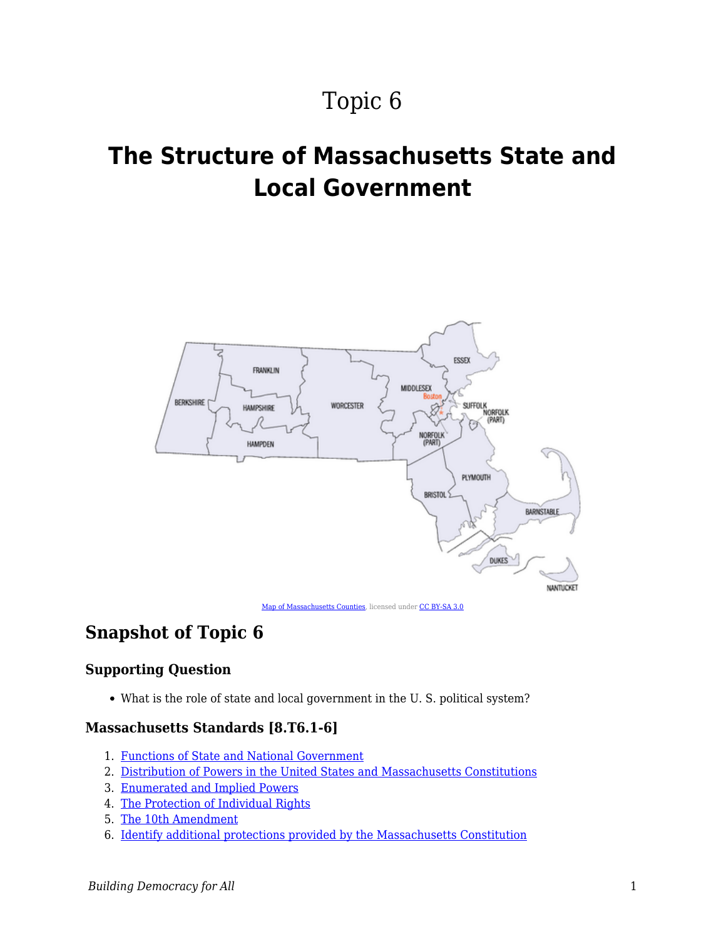# Topic 6

# **The Structure of Massachusetts State and Local Government**



[Map of Massachusetts Counties](https://en.wikipedia.org/wiki/File:Massachusetts-counties-map.gif#/media/File:Massachusetts-counties-map.gif), licensed under [CC BY-SA 3.0](http://creativecommons.org/licenses/by-sa/3.0/)

## **Snapshot of Topic 6**

### **Supporting Question**

What is the role of state and local government in the U. S. political system?

#### **Massachusetts Standards [8.T6.1-6]**

- 1. [Functions of State and National Government](https://edtechbooks.org/democracy/functionsofstate)
- 2. [Distribution of Powers in the United States and Massachusetts Constitutions](https://edtechbooks.org/democracy/Constitutions)
- 3. [Enumerated and Implied Powers](https://edtechbooks.org/democracy/powers)
- 4. [The Protection of Individual Rights](https://edtechbooks.org/democracy/coredocuments)
- 5. [The 10th Amendment](https://edtechbooks.org/democracy/tenthamendment)
- 6. [Identify additional protections provided by the Massachusetts Constitution](https://edtechbooks.org/democracy/massconstitution)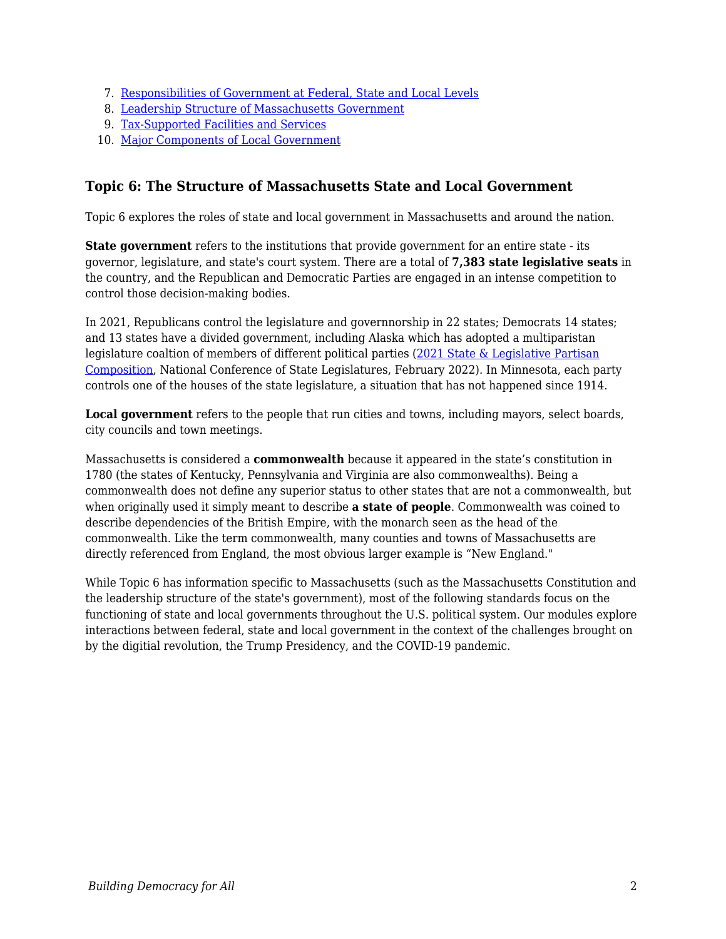- 7. [Responsibilities of Government at Federal, State and Local Levels](https://edtechbooks.org/democracy/responsibilities)
- 8. [Leadership Structure of Massachusetts Government](https://edtechbooks.org/democracy/leadership)
- 9. [Tax-Supported Facilities and Services](https://edtechbooks.org/democracy/taxsupport)
- 10. [Major Components of Local Government](https://edtechbooks.org/democracy/components)

### **Topic 6: The Structure of Massachusetts State and Local Government**

Topic 6 explores the roles of state and local government in Massachusetts and around the nation.

**State government** refers to the institutions that provide government for an entire state - its governor, legislature, and state's court system. There are a total of **7,383 state legislative seats** in the country, and the Republican and Democratic Parties are engaged in an intense competition to control those decision-making bodies.

In 2021, Republicans control the legislature and governnorship in 22 states; Democrats 14 states; and 13 states have a divided government, including Alaska which has adopted a multiparistan legislature coaltion of members of different political parties ([2021 State & Legislative Partisan](https://www.ncsl.org/Portals/1/Documents/Elections/Legis_Control_February_2022.pdf) [Composition](https://www.ncsl.org/Portals/1/Documents/Elections/Legis_Control_February_2022.pdf), National Conference of State Legislatures, February 2022). In Minnesota, each party controls one of the houses of the state legislature, a situation that has not happened since 1914.

**Local government** refers to the people that run cities and towns, including mayors, select boards, city councils and town meetings.

Massachusetts is considered a **commonwealth** because it appeared in the state's constitution in 1780 (the states of Kentucky, Pennsylvania and Virginia are also commonwealths). Being a commonwealth does not define any superior status to other states that are not a commonwealth, but when originally used it simply meant to describe **a state of people**. Commonwealth was coined to describe dependencies of the British Empire, with the monarch seen as the head of the commonwealth. Like the term commonwealth, many counties and towns of Massachusetts are directly referenced from England, the most obvious larger example is "New England."

While Topic 6 has information specific to Massachusetts (such as the Massachusetts Constitution and the leadership structure of the state's government), most of the following standards focus on the functioning of state and local governments throughout the U.S. political system. Our modules explore interactions between federal, state and local government in the context of the challenges brought on by the digitial revolution, the Trump Presidency, and the COVID-19 pandemic.